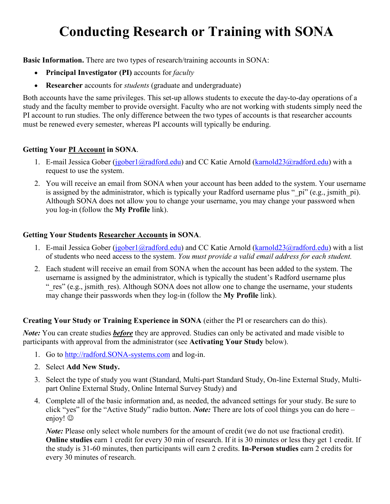# **Conducting Research or Training with SONA**

**Basic Information.** There are two types of research/training accounts in SONA:

- **Principal Investigator (PI)** accounts for *faculty*
- **Researcher** accounts for *students* (graduate and undergraduate)

Both accounts have the same privileges. This set-up allows students to execute the day-to-day operations of a study and the faculty member to provide oversight. Faculty who are not working with students simply need the PI account to run studies. The only difference between the two types of accounts is that researcher accounts must be renewed every semester, whereas PI accounts will typically be enduring.

# **Getting Your PI Account in SONA**.

- 1. E-mail Jessica Gober [\(jgober1@radford.edu\)](mailto:jgober1@radford.edu) and CC Katie Arnold [\(karnold23@radford.edu\)](mailto:karnold23@radford.edu) with a request to use the system.
- 2. You will receive an email from SONA when your account has been added to the system. Your username is assigned by the administrator, which is typically your Radford username plus " pi" (e.g., jsmith pi). Although SONA does not allow you to change your username, you may change your password when you log-in (follow the **My Profile** link).

### **Getting Your Students Researcher Accounts in SONA**.

- 1. E-mail Jessica Gober [\(jgober1@radford.edu\)](mailto:jgober1@radford.edu) and CC Katie Arnold [\(karnold23@radford.edu\)](mailto:karnold23@radford.edu) with a list of students who need access to the system. *You must provide a valid email address for each student.*
- 2. Each student will receive an email from SONA when the account has been added to the system. The username is assigned by the administrator, which is typically the student's Radford username plus " res" (e.g., jsmith res). Although SONA does not allow one to change the username, your students may change their passwords when they log-in (follow the **My Profile** link).

### **Creating Your Study or Training Experience in SONA** (either the PI or researchers can do this).

*Note*: You can create studies *before* they are approved. Studies can only be activated and made visible to participants with approval from the administrator (see **Activating Your Study** below).

- 1. Go to [http://radford.SONA-systems.com](http://radford.sona-systems.com/) and log-in.
- 2. Select **Add New Study.**
- 3. Select the type of study you want (Standard, Multi-part Standard Study, On-line External Study, Multipart Online External Study, Online Internal Survey Study) and
- 4. Complete all of the basic information and, as needed, the advanced settings for your study. Be sure to click "yes" for the "Active Study" radio button. *Note:* There are lots of cool things you can do here – enjoy!  $\odot$

*Note*: Please only select whole numbers for the amount of credit (we do not use fractional credit). **Online studies** earn 1 credit for every 30 min of research. If it is 30 minutes or less they get 1 credit. If the study is 31-60 minutes, then participants will earn 2 credits. **In-Person studies** earn 2 credits for every 30 minutes of research.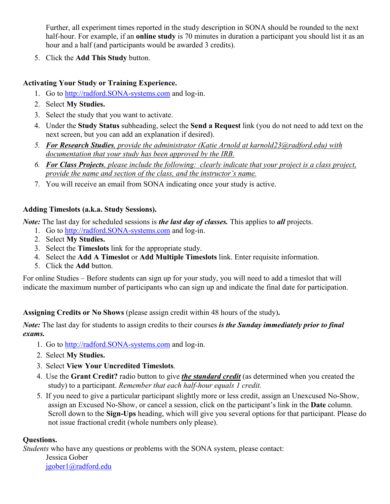Further, all experiment times reported in the study description in SONA should be rounded to the next half-hour. For example, if an **online study** is 70 minutes in duration a participant you should list it as an hour and a half (and participants would be awarded 3 credits).

5. Click the **Add This Study** button.

# **Activating Your Study or Training Experience.**

- 1. Go to [http://radford.SONA-systems.com](http://radford.sona-systems.com/) and log-in.
- 2. Select **My Studies.**
- 3. Select the study that you want to activate.
- 4. Under the **Study Status** subheading, select the **Send a Request** link (you do not need to add text on the next screen, but you can add an explanation if desired).
- *5. For Research Studies, provide the administrator (Katie Arnold at karnold23@radford.edu) with documentation that your study has been approved by the IRB.*
- *6. For Class Projects, please include the following: clearly indicate that your project is a class project, provide the name and section of the class, and the instructor's name.*
- 7. You will receive an email from SONA indicating once your study is active.

# **Adding Timeslots (a.k.a. Study Sessions).**

*Note:* The last day for scheduled sessions is *the last day of classes*. This applies to *all* projects.

- 1. Go to [http://radford.SONA-systems.com](http://radford.sona-systems.com/) and log-in.
- 2. Select **My Studies.**
- 3. Select the **Timeslots** link for the appropriate study.
- 4. Select the **Add A Timeslot** or **Add Multiple Timeslots** link. Enter requisite information.
- 5. Click the **Add** button.

For online Studies – Before students can sign up for your study, you will need to add a timeslot that will indicate the maximum number of participants who can sign up and indicate the final date for participation.

**Assigning Credits or No Shows** (please assign credit within 48 hours of the study)**.** 

*Note:* The last day for students to assign credits to their courses *is the Sunday immediately prior to final exams.*

- 1. Go to [http://radford.SONA-systems.com](http://radford.sona-systems.com/) and log-in.
- 2. Select **My Studies.**
- 3. Select **View Your Uncredited Timeslots**.
- 4. Use the **Grant Credit?** radio button to give *the standard credit* (as determined when you created the study) to a participant. *Remember that each half-hour equals 1 credit.*
- 5. If you need to give a particular participant slightly more or less credit, assign an Unexcused No-Show, assign an Excused No-Show, or cancel a session, click on the participant's link in the **Date** column. Scroll down to the **Sign-Ups** heading, which will give you several options for that participant. Please do not issue fractional credit (whole numbers only please).

### **Questions.**

*Students* who have any questions or problems with the SONA system, please contact:

Jessica Gober [jgober1@radford.edu](mailto:jgober1@radford.edu)